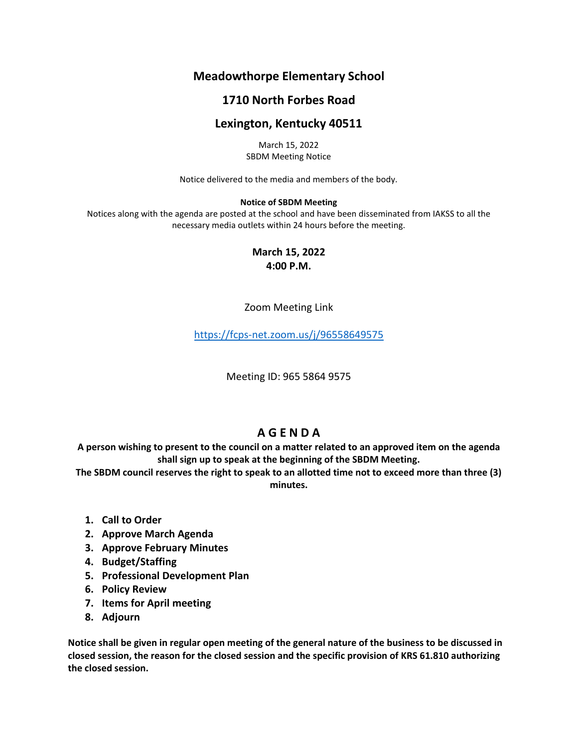# **Meadowthorpe Elementary School**

## **1710 North Forbes Road**

### **Lexington, Kentucky 40511**

March 15, 2022 SBDM Meeting Notice

Notice delivered to the media and members of the body.

#### **Notice of SBDM Meeting**

Notices along with the agenda are posted at the school and have been disseminated from IAKSS to all the necessary media outlets within 24 hours before the meeting.

> **March 15, 2022 4:00 P.M.**

Zoom Meeting Link

<https://fcps-net.zoom.us/j/96558649575>

Meeting ID: 965 5864 9575

## **A G E N D A**

**A person wishing to present to the council on a matter related to an approved item on the agenda shall sign up to speak at the beginning of the SBDM Meeting.**

**The SBDM council reserves the right to speak to an allotted time not to exceed more than three (3) minutes.**

- **1. Call to Order**
- **2. Approve March Agenda**
- **3. Approve February Minutes**
- **4. Budget/Staffing**
- **5. Professional Development Plan**
- **6. Policy Review**
- **7. Items for April meeting**
- **8. Adjourn**

**Notice shall be given in regular open meeting of the general nature of the business to be discussed in closed session, the reason for the closed session and the specific provision of KRS 61.810 authorizing the closed session.**